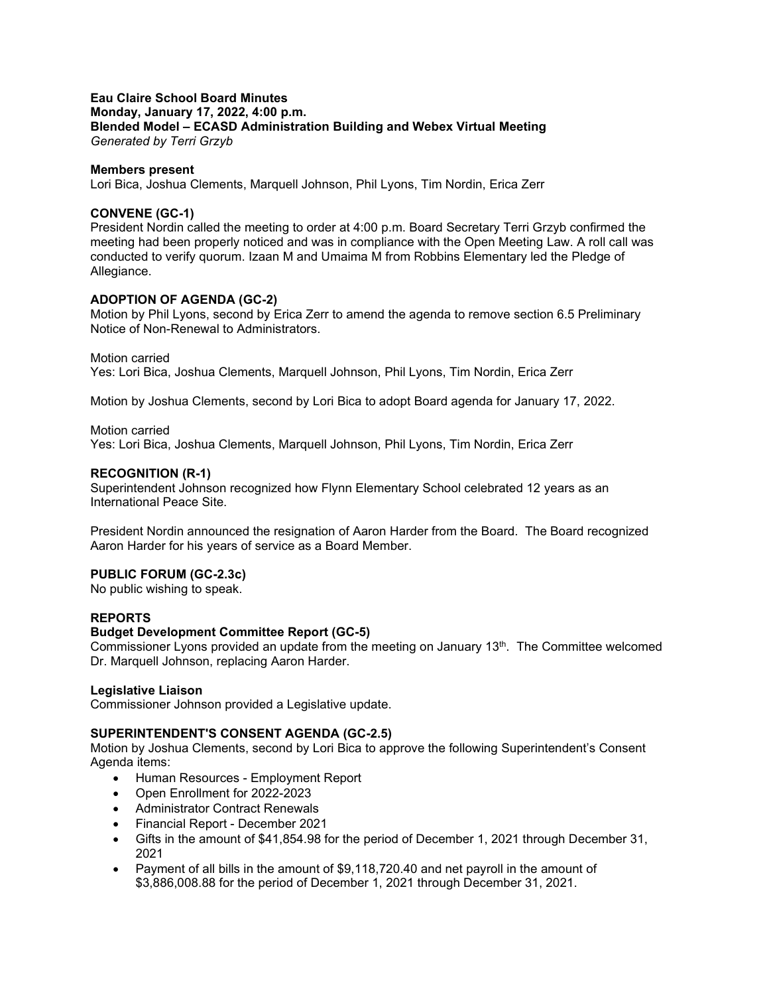### **Eau Claire School Board Minutes Monday, January 17, 2022, 4:00 p.m. Blended Model – ECASD Administration Building and Webex Virtual Meeting** *Generated by Terri Grzyb*

### **Members present**

Lori Bica, Joshua Clements, Marquell Johnson, Phil Lyons, Tim Nordin, Erica Zerr

## **CONVENE (GC-1)**

President Nordin called the meeting to order at 4:00 p.m. Board Secretary Terri Grzyb confirmed the meeting had been properly noticed and was in compliance with the Open Meeting Law. A roll call was conducted to verify quorum. Izaan M and Umaima M from Robbins Elementary led the Pledge of Allegiance.

### **ADOPTION OF AGENDA (GC-2)**

Motion by Phil Lyons, second by Erica Zerr to amend the agenda to remove section 6.5 Preliminary Notice of Non-Renewal to Administrators.

#### Motion carried

Yes: Lori Bica, Joshua Clements, Marquell Johnson, Phil Lyons, Tim Nordin, Erica Zerr

Motion by Joshua Clements, second by Lori Bica to adopt Board agenda for January 17, 2022.

### Motion carried

Yes: Lori Bica, Joshua Clements, Marquell Johnson, Phil Lyons, Tim Nordin, Erica Zerr

### **RECOGNITION (R-1)**

Superintendent Johnson recognized how Flynn Elementary School celebrated 12 years as an International Peace Site.

President Nordin announced the resignation of Aaron Harder from the Board. The Board recognized Aaron Harder for his years of service as a Board Member.

# **PUBLIC FORUM (GC-2.3c)**

No public wishing to speak.

## **REPORTS**

#### **Budget Development Committee Report (GC-5)**

Commissioner Lyons provided an update from the meeting on January 13<sup>th</sup>. The Committee welcomed Dr. Marquell Johnson, replacing Aaron Harder.

### **Legislative Liaison**

Commissioner Johnson provided a Legislative update.

#### **SUPERINTENDENT'S CONSENT AGENDA (GC-2.5)**

Motion by Joshua Clements, second by Lori Bica to approve the following Superintendent's Consent Agenda items:

- Human Resources Employment Report
- Open Enrollment for 2022-2023
- Administrator Contract Renewals
- Financial Report December 2021
- Gifts in the amount of \$41,854.98 for the period of December 1, 2021 through December 31, 2021
- Payment of all bills in the amount of \$9,118,720.40 and net payroll in the amount of \$3,886,008.88 for the period of December 1, 2021 through December 31, 2021.